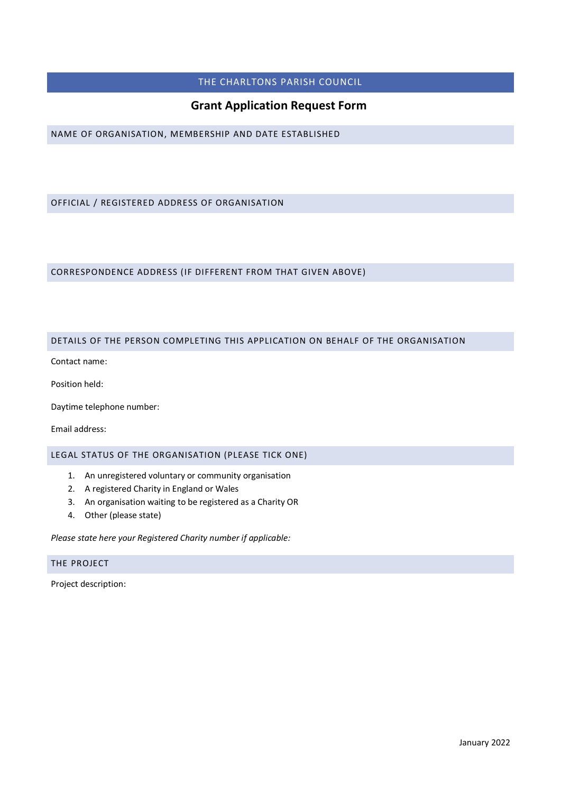## THE CHARLTONS PARISH COUNCIL

# **Grant Application Request Form**

NAME OF ORGANISATION, MEMBERSHIP AND DATE ESTABLISHED

## OFFICIAL / REGISTERED ADDRESS OF ORGANISATION

### CORRESPONDENCE ADDRESS (IF DIFFERENT FROM THAT GIVEN ABOVE)

### DETAILS OF THE PERSON COMPLETING THIS APPLICATION ON BEHALF OF THE ORGANISATION

Contact name:

Position held:

Daytime telephone number:

Email address:

LEGAL STATUS OF THE ORGANISATION (PLEASE TICK ONE)

- 1. An unregistered voluntary or community organisation
- 2. A registered Charity in England or Wales
- 3. An organisation waiting to be registered as a Charity OR
- 4. Other (please state)

*Please state here your Registered Charity number if applicable:* 

## THE PROJECT

Project description: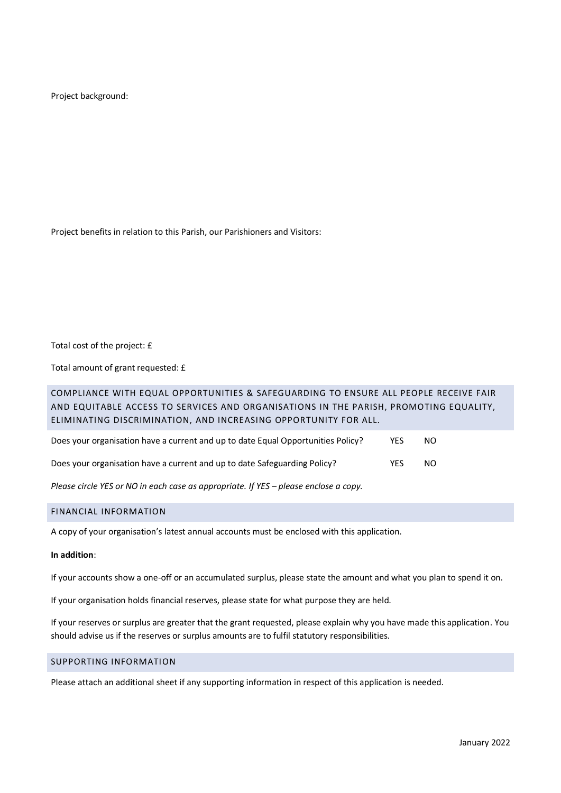Project background:

Project benefits in relation to this Parish, our Parishioners and Visitors:

Total cost of the project: £

Total amount of grant requested: £

# COMPLIANCE WITH EQUAL OPPORTUNITIES & SAFEGUARDING TO ENSURE ALL PEOPLE RECEIVE FAIR AND EQUITABLE ACCESS TO SERVICES AND ORGANISATIONS IN THE PARISH, PROMOTING EQUALITY, ELIMINATING DISCRIMINATION, AND INCREASING OPPORTUNITY FOR ALL.

| Does your organisation have a current and up to date Equal Opportunities Policy? | YES. | NO. |
|----------------------------------------------------------------------------------|------|-----|
| Does your organisation have a current and up to date Safeguarding Policy?        | YES  | NO. |

*Please circle YES or NO in each case as appropriate. If YES – please enclose a copy.*

### FINANCIAL INFORMATION

A copy of your organisation's latest annual accounts must be enclosed with this application.

### **In addition**:

If your accounts show a one-off or an accumulated surplus, please state the amount and what you plan to spend it on.

If your organisation holds financial reserves, please state for what purpose they are held.

If your reserves or surplus are greater that the grant requested, please explain why you have made this application. You should advise us if the reserves or surplus amounts are to fulfil statutory responsibilities.

#### SUPPORTING INFORMATION

Please attach an additional sheet if any supporting information in respect of this application is needed.